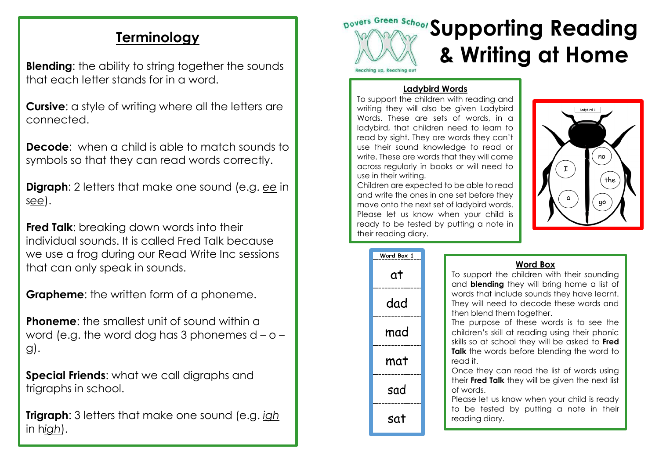## **Terminology**

**Blending:** the ability to string together the sounds that each letter stands for in a word.

**Cursive:** a style of writing where all the letters are connected.

**Decode**: when a child is able to match sounds to symbols so that they can read words correctly.

**Digraph**: 2 letters that make one sound (e.g. *ee* in s*ee*).

**Fred Talk:** breaking down words into their individual sounds. It is called Fred Talk because we use a frog during our Read Write Inc sessions that can only speak in sounds.

**Grapheme:** the written form of a phoneme.

**Phoneme:** the smallest unit of sound within a word (e.g. the word dog has 3 phonemes  $d - o$ g).

**Special Friends**: what we call digraphs and trigraphs in school.

**Trigraph**: 3 letters that make one sound (e.g. *igh* in h*igh*).



## **Ladybird Words**

To support the children with reading and writing they will also be given Ladybird Words. These are sets of words, in a ladybird, that children need to learn to read by sight. They are words they can't use their sound knowledge to read or write. These are words that they will come across regularly in books or will need to use in their writing.

Children are expected to be able to read and write the ones in one set before they move onto the next set of ladybird words. Please let us know when your child is ready to be tested by putting a note in their reading diary.



| Word Box 1 |  |
|------------|--|
| at         |  |
| dad        |  |
| mad        |  |
| mat        |  |
| sad        |  |
| sat        |  |

## **Word Box**

To support the children with their sounding and **blending** they will bring home a list of words that include sounds they have learnt. They will need to decode these words and then blend them together.

The purpose of these words is to see the children's skill at reading using their phonic skills so at school they will be asked to **Fred Talk** the words before blending the word to read it.

Once they can read the list of words using their **Fred Talk** they will be given the next list of words.

Please let us know when your child is ready to be tested by putting a note in their reading diary.